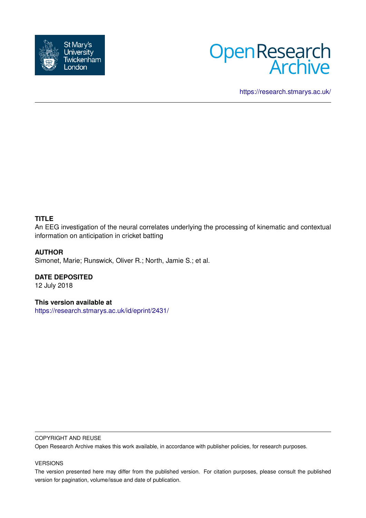



<https://research.stmarys.ac.uk/>

# **TITLE**

An EEG investigation of the neural correlates underlying the processing of kinematic and contextual information on anticipation in cricket batting

## **AUTHOR**

Simonet, Marie; Runswick, Oliver R.; North, Jamie S.; et al.

**DATE DEPOSITED**

12 July 2018

**This version available at**

<https://research.stmarys.ac.uk/id/eprint/2431/>

## COPYRIGHT AND REUSE

Open Research Archive makes this work available, in accordance with publisher policies, for research purposes.

#### VERSIONS

The version presented here may differ from the published version. For citation purposes, please consult the published version for pagination, volume/issue and date of publication.